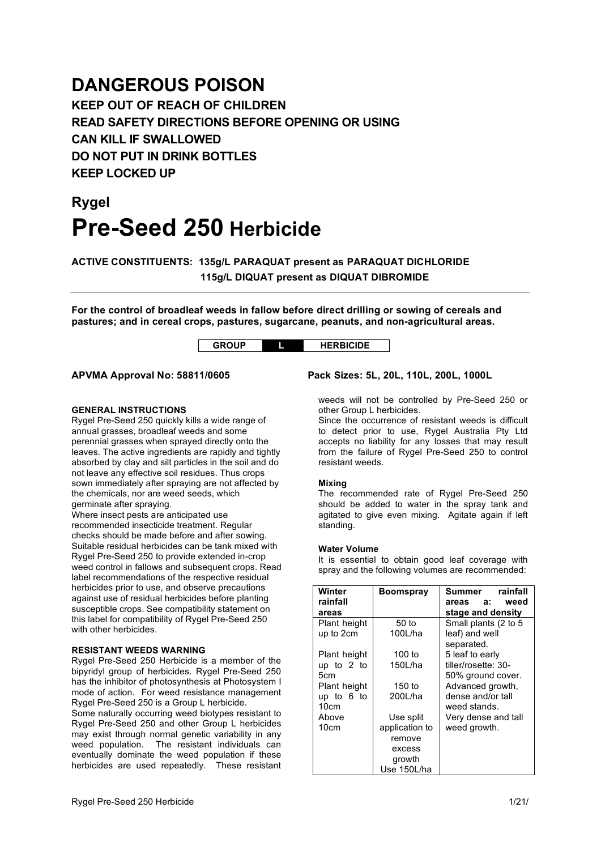## **DANGEROUS POISON**

**KEEP OUT OF REACH OF CHILDREN READ SAFETY DIRECTIONS BEFORE OPENING OR USING CAN KILL IF SWALLOWED DO NOT PUT IN DRINK BOTTLES KEEP LOCKED UP**

# **Rygel Pre-Seed 250 Herbicide**

**ACTIVE CONSTITUENTS: 135g/L PARAQUAT present as PARAQUAT DICHLORIDE 115g/L DIQUAT present as DIQUAT DIBROMIDE**

**For the control of broadleaf weeds in fallow before direct drilling or sowing of cereals and pastures; and in cereal crops, pastures, sugarcane, peanuts, and non-agricultural areas.**

**GROUP L HERBICIDE**

## **APVMA Approval No: 58811/0605 Pack Sizes: 5L, 20L, 110L, 200L, 1000L**

#### **GENERAL INSTRUCTIONS**

Rygel Pre-Seed 250 quickly kills a wide range of annual grasses, broadleaf weeds and some perennial grasses when sprayed directly onto the leaves. The active ingredients are rapidly and tightly absorbed by clay and silt particles in the soil and do not leave any effective soil residues. Thus crops sown immediately after spraying are not affected by the chemicals, nor are weed seeds, which germinate after spraying.

Where insect pests are anticipated use recommended insecticide treatment. Regular checks should be made before and after sowing. Suitable residual herbicides can be tank mixed with Rygel Pre-Seed 250 to provide extended in-crop weed control in fallows and subsequent crops. Read label recommendations of the respective residual herbicides prior to use, and observe precautions against use of residual herbicides before planting susceptible crops. See compatibility statement on this label for compatibility of Rygel Pre-Seed 250 with other herbicides.

#### **RESISTANT WEEDS WARNING**

Rygel Pre-Seed 250 Herbicide is a member of the bipyridyl group of herbicides. Rygel Pre-Seed 250 has the inhibitor of photosynthesis at Photosystem I mode of action. For weed resistance management Rygel Pre-Seed 250 is a Group L herbicide.

Some naturally occurring weed biotypes resistant to Rygel Pre-Seed 250 and other Group L herbicides may exist through normal genetic variability in any weed population. The resistant individuals can eventually dominate the weed population if these herbicides are used repeatedly. These resistant

## other Group L herbicides. Since the occurrence of resistant weeds is difficult

to detect prior to use, Rygel Australia Pty Ltd accepts no liability for any losses that may result from the failure of Rygel Pre-Seed 250 to control resistant weeds.

weeds will not be controlled by Pre-Seed 250 or

#### **Mixing**

The recommended rate of Rygel Pre-Seed 250 should be added to water in the spray tank and agitated to give even mixing. Agitate again if left standing.

#### **Water Volume**

It is essential to obtain good leaf coverage with spray and the following volumes are recommended:

| Winter       | <b>Boomspray</b> | Summer<br>rainfall   |
|--------------|------------------|----------------------|
| rainfall     |                  | weed<br>a:<br>areas  |
| areas        |                  | stage and density    |
| Plant height | $50$ to          | Small plants (2 to 5 |
| up to 2cm    | 100L/ha          | leaf) and well       |
|              |                  | separated.           |
| Plant height | 100 to           | 5 leaf to early      |
| up to $2$ to | 150L/ha          | tiller/rosette: 30-  |
| 5cm          |                  | 50% ground cover.    |
| Plant height | 150 to           | Advanced growth,     |
| up to $6$ to | 200L/ha          | dense and/or tall    |
| 10cm         |                  | weed stands.         |
| Above        | Use split        | Very dense and tall  |
| 10cm         | application to   | weed growth.         |
|              | remove           |                      |
|              | excess           |                      |
|              | growth           |                      |
|              | Use 150L/ha      |                      |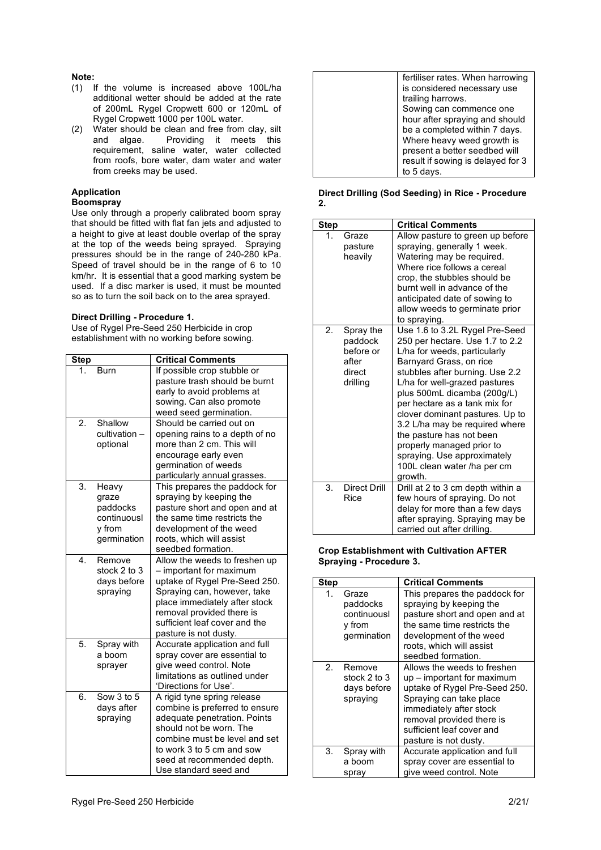## **Note:**

- (1) If the volume is increased above 100L/ha additional wetter should be added at the rate of 200mL Rygel Cropwett 600 or 120mL of Rygel Cropwett 1000 per 100L water.
- (2) Water should be clean and free from clay, silt<br>and algae. Providing it meets this Providing it meets this requirement, saline water, water collected from roofs, bore water, dam water and water from creeks may be used.

#### **Application**

#### **Boomspray**

Use only through a properly calibrated boom spray that should be fitted with flat fan jets and adjusted to a height to give at least double overlap of the spray at the top of the weeds being sprayed. Spraying pressures should be in the range of 240-280 kPa. Speed of travel should be in the range of 6 to 10 km/hr. It is essential that a good marking system be used. If a disc marker is used, it must be mounted so as to turn the soil back on to the area sprayed.

#### **Direct Drilling - Procedure 1.**

Use of Rygel Pre-Seed 250 Herbicide in crop establishment with no working before sowing.

| <b>Step</b> |                                                                    | <b>Critical Comments</b>                                                                                                                                                                                                                         |
|-------------|--------------------------------------------------------------------|--------------------------------------------------------------------------------------------------------------------------------------------------------------------------------------------------------------------------------------------------|
| 1.          | <b>Burn</b>                                                        | If possible crop stubble or<br>pasture trash should be burnt<br>early to avoid problems at<br>sowing. Can also promote<br>weed seed germination.                                                                                                 |
| 2.          | Shallow<br>cultivation -<br>optional                               | Should be carried out on<br>opening rains to a depth of no<br>more than 2 cm. This will<br>encourage early even<br>germination of weeds<br>particularly annual grasses.                                                                          |
| 3.          | Heavy<br>graze<br>paddocks<br>continuousl<br>y from<br>germination | This prepares the paddock for<br>spraying by keeping the<br>pasture short and open and at<br>the same time restricts the<br>development of the weed<br>roots, which will assist<br>seedbed formation.                                            |
| 4.          | Remove<br>stock 2 to 3<br>days before<br>spraying                  | Allow the weeds to freshen up<br>- important for maximum<br>uptake of Rygel Pre-Seed 250.<br>Spraying can, however, take<br>place immediately after stock<br>removal provided there is<br>sufficient leaf cover and the<br>pasture is not dusty. |
| 5.          | Spray with<br>a boom<br>sprayer                                    | Accurate application and full<br>spray cover are essential to<br>give weed control. Note<br>limitations as outlined under<br>'Directions for Use'.                                                                                               |
| 6.          | Sow 3 to 5<br>days after<br>spraying                               | A rigid tyne spring release<br>combine is preferred to ensure<br>adequate penetration. Points<br>should not be worn. The<br>combine must be level and set<br>to work 3 to 5 cm and sow<br>seed at recommended depth.<br>Use standard seed and    |

| fertiliser rates. When harrowing  |
|-----------------------------------|
| is considered necessary use       |
| trailing harrows.                 |
| Sowing can commence one           |
| hour after spraying and should    |
| be a completed within 7 days.     |
| Where heavy weed growth is        |
| present a better seedbed will     |
| result if sowing is delayed for 3 |
| to 5 days.                        |
|                                   |

#### **Direct Drilling (Sod Seeding) in Rice - Procedure 2.**

| <b>Step</b> |                                                                  | <b>Critical Comments</b>                                                                                                                                                                                                                                                                                                                                                                                                                                                |
|-------------|------------------------------------------------------------------|-------------------------------------------------------------------------------------------------------------------------------------------------------------------------------------------------------------------------------------------------------------------------------------------------------------------------------------------------------------------------------------------------------------------------------------------------------------------------|
| 1.          | Graze<br>pasture<br>heavily                                      | Allow pasture to green up before<br>spraying, generally 1 week.<br>Watering may be required.<br>Where rice follows a cereal<br>crop, the stubbles should be<br>burnt well in advance of the<br>anticipated date of sowing to<br>allow weeds to germinate prior<br>to spraying.                                                                                                                                                                                          |
| 2.          | Spray the<br>paddock<br>before or<br>after<br>direct<br>drilling | Use 1.6 to 3.2L Rygel Pre-Seed<br>250 per hectare. Use 1.7 to 2.2<br>L/ha for weeds, particularly<br>Barnyard Grass, on rice<br>stubbles after burning. Use 2.2<br>L/ha for well-grazed pastures<br>plus 500mL dicamba (200g/L)<br>per hectare as a tank mix for<br>clover dominant pastures. Up to<br>3.2 L/ha may be required where<br>the pasture has not been<br>properly managed prior to<br>spraying. Use approximately<br>100L clean water /ha per cm<br>growth. |
| 3.          | Direct Drill<br>Rice                                             | Drill at 2 to 3 cm depth within a<br>few hours of spraying. Do not<br>delay for more than a few days<br>after spraying. Spraying may be<br>carried out after drilling.                                                                                                                                                                                                                                                                                                  |

#### **Crop Establishment with Cultivation AFTER Spraying - Procedure 3.**

| <b>Step</b> |                                                           | <b>Critical Comments</b>                                                                                                                                                                                                            |
|-------------|-----------------------------------------------------------|-------------------------------------------------------------------------------------------------------------------------------------------------------------------------------------------------------------------------------------|
| 1.          | Graze<br>paddocks<br>continuousl<br>y from<br>germination | This prepares the paddock for<br>spraying by keeping the<br>pasture short and open and at<br>the same time restricts the<br>development of the weed<br>roots, which will assist<br>seedbed formation.                               |
| $2 -$       | Remove<br>stock 2 to 3<br>days before<br>spraying         | Allows the weeds to freshen<br>up – important for maximum<br>uptake of Rygel Pre-Seed 250.<br>Spraying can take place<br>immediately after stock<br>removal provided there is<br>sufficient leaf cover and<br>pasture is not dusty. |
| 3.          | Spray with<br>a boom<br>spray                             | Accurate application and full<br>spray cover are essential to<br>give weed control. Note                                                                                                                                            |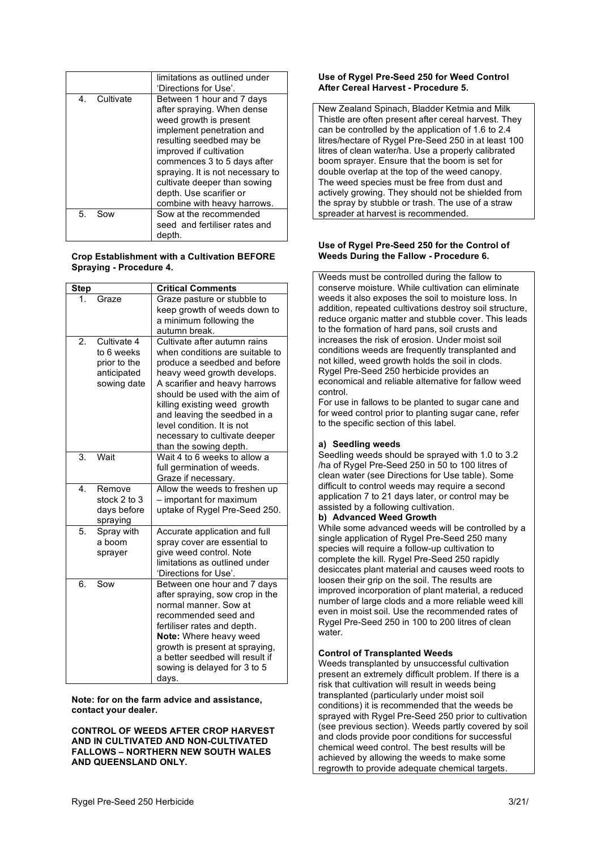|                 | limitations as outlined under<br>'Directions for Use'.                                                                                                                                                                                                                                                                             |
|-----------------|------------------------------------------------------------------------------------------------------------------------------------------------------------------------------------------------------------------------------------------------------------------------------------------------------------------------------------|
| Cultivate<br>4. | Between 1 hour and 7 days<br>after spraying. When dense<br>weed growth is present<br>implement penetration and<br>resulting seedbed may be<br>improved if cultivation<br>commences 3 to 5 days after<br>spraying. It is not necessary to<br>cultivate deeper than sowing<br>depth. Use scarifier or<br>combine with heavy harrows. |
| 5.<br>Sow       | Sow at the recommended<br>seed and fertiliser rates and<br>depth.                                                                                                                                                                                                                                                                  |

#### **Crop Establishment with a Cultivation BEFORE Spraying - Procedure 4.**

| <b>Step</b> |                                                                         | <b>Critical Comments</b>                                                                                                                                                                                                                                                                                                                                   |
|-------------|-------------------------------------------------------------------------|------------------------------------------------------------------------------------------------------------------------------------------------------------------------------------------------------------------------------------------------------------------------------------------------------------------------------------------------------------|
| 1.          | Graze                                                                   | Graze pasture or stubble to<br>keep growth of weeds down to<br>a minimum following the<br>autumn break.                                                                                                                                                                                                                                                    |
| 2.          | Cultivate 4<br>to 6 weeks<br>prior to the<br>anticipated<br>sowing date | Cultivate after autumn rains<br>when conditions are suitable to<br>produce a seedbed and before<br>heavy weed growth develops.<br>A scarifier and heavy harrows<br>should be used with the aim of<br>killing existing weed growth<br>and leaving the seedbed in a<br>level condition. It is not<br>necessary to cultivate deeper<br>than the sowing depth. |
| 3.          | Wait                                                                    | Wait 4 to 6 weeks to allow a<br>full germination of weeds.<br>Graze if necessary.                                                                                                                                                                                                                                                                          |
| 4.          | Remove<br>stock 2 to 3<br>days before<br>spraying                       | Allow the weeds to freshen up<br>- important for maximum<br>uptake of Rygel Pre-Seed 250.                                                                                                                                                                                                                                                                  |
| 5.          | Spray with<br>a boom<br>sprayer                                         | Accurate application and full<br>spray cover are essential to<br>give weed control. Note<br>limitations as outlined under<br>'Directions for Use'.                                                                                                                                                                                                         |
| 6.          | Sow                                                                     | Between one hour and 7 days<br>after spraying, sow crop in the<br>normal manner. Sow at<br>recommended seed and<br>fertiliser rates and depth.<br>Note: Where heavy weed<br>growth is present at spraying.<br>a better seedbed will result if<br>sowing is delayed for 3 to 5<br>days.                                                                     |

**Note: for on the farm advice and assistance, contact your dealer.**

**CONTROL OF WEEDS AFTER CROP HARVEST AND IN CULTIVATED AND NON-CULTIVATED FALLOWS – NORTHERN NEW SOUTH WALES AND QUEENSLAND ONLY.**

#### **Use of Rygel Pre-Seed 250 for Weed Control After Cereal Harvest - Procedure 5.**

New Zealand Spinach, Bladder Ketmia and Milk Thistle are often present after cereal harvest. They can be controlled by the application of 1.6 to 2.4 litres/hectare of Rygel Pre-Seed 250 in at least 100 litres of clean water/ha. Use a properly calibrated boom sprayer. Ensure that the boom is set for double overlap at the top of the weed canopy. The weed species must be free from dust and actively growing. They should not be shielded from the spray by stubble or trash. The use of a straw spreader at harvest is recommended.

## **Use of Rygel Pre-Seed 250 for the Control of Weeds During the Fallow - Procedure 6.**

Weeds must be controlled during the fallow to conserve moisture. While cultivation can eliminate weeds it also exposes the soil to moisture loss. In addition, repeated cultivations destroy soil structure, reduce organic matter and stubble cover. This leads to the formation of hard pans, soil crusts and increases the risk of erosion. Under moist soil conditions weeds are frequently transplanted and not killed, weed growth holds the soil in clods. Rygel Pre-Seed 250 herbicide provides an economical and reliable alternative for fallow weed control.

For use in fallows to be planted to sugar cane and for weed control prior to planting sugar cane, refer to the specific section of this label.

## **a) Seedling weeds**

Seedling weeds should be sprayed with 1.0 to 3.2 /ha of Rygel Pre-Seed 250 in 50 to 100 litres of clean water (see Directions for Use table). Some difficult to control weeds may require a second application 7 to 21 days later, or control may be assisted by a following cultivation.

## **b) Advanced Weed Growth**

While some advanced weeds will be controlled by a single application of Rygel Pre-Seed 250 many species will require a follow-up cultivation to complete the kill. Rygel Pre-Seed 250 rapidly desiccates plant material and causes weed roots to loosen their grip on the soil. The results are improved incorporation of plant material, a reduced number of large clods and a more reliable weed kill even in moist soil. Use the recommended rates of Rygel Pre-Seed 250 in 100 to 200 litres of clean water.

## **Control of Transplanted Weeds**

Weeds transplanted by unsuccessful cultivation present an extremely difficult problem. If there is a risk that cultivation will result in weeds being transplanted (particularly under moist soil conditions) it is recommended that the weeds be sprayed with Rygel Pre-Seed 250 prior to cultivation (see previous section). Weeds partly covered by soil and clods provide poor conditions for successful chemical weed control. The best results will be achieved by allowing the weeds to make some regrowth to provide adequate chemical targets.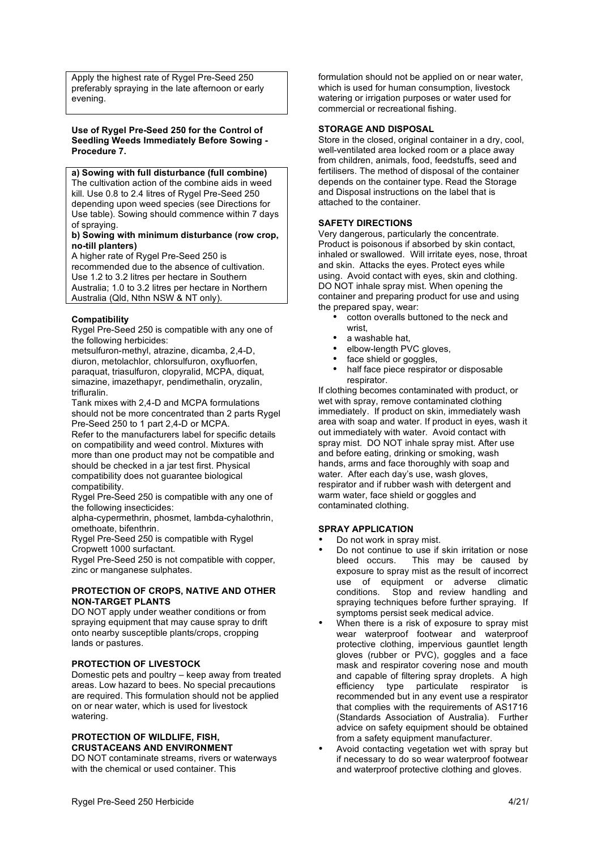Apply the highest rate of Rygel Pre-Seed 250 preferably spraying in the late afternoon or early evening.

#### **Use of Rygel Pre-Seed 250 for the Control of Seedling Weeds Immediately Before Sowing - Procedure 7.**

**a) Sowing with full disturbance (full combine)** The cultivation action of the combine aids in weed kill. Use 0.8 to 2.4 litres of Rygel Pre-Seed 250 depending upon weed species (see Directions for Use table). Sowing should commence within 7 days of spraying.

#### **b) Sowing with minimum disturbance (row crop, no-till planters)**

A higher rate of Rygel Pre-Seed 250 is recommended due to the absence of cultivation. Use 1.2 to 3.2 litres per hectare in Southern Australia; 1.0 to 3.2 litres per hectare in Northern Australia (Qld, Nthn NSW & NT only).

## **Compatibility**

Rygel Pre-Seed 250 is compatible with any one of the following herbicides:

metsulfuron-methyl, atrazine, dicamba, 2,4-D, diuron, metolachlor, chlorsulfuron, oxyfluorfen, paraquat, triasulfuron, clopyralid, MCPA, diquat, simazine, imazethapyr, pendimethalin, oryzalin, trifluralin.

Tank mixes with 2,4-D and MCPA formulations should not be more concentrated than 2 parts Rygel Pre-Seed 250 to 1 part 2,4-D or MCPA.

Refer to the manufacturers label for specific details on compatibility and weed control. Mixtures with more than one product may not be compatible and should be checked in a jar test first. Physical compatibility does not guarantee biological compatibility.

Rygel Pre-Seed 250 is compatible with any one of the following insecticides:

alpha-cypermethrin, phosmet, lambda-cyhalothrin, omethoate, bifenthrin.

Rygel Pre-Seed 250 is compatible with Rygel Cropwett 1000 surfactant.

Rygel Pre-Seed 250 is not compatible with copper, zinc or manganese sulphates.

## **PROTECTION OF CROPS, NATIVE AND OTHER NON-TARGET PLANTS**

DO NOT apply under weather conditions or from spraying equipment that may cause spray to drift onto nearby susceptible plants/crops, cropping lands or pastures.

## **PROTECTION OF LIVESTOCK**

Domestic pets and poultry – keep away from treated areas. Low hazard to bees. No special precautions are required. This formulation should not be applied on or near water, which is used for livestock watering.

#### **PROTECTION OF WILDLIFE, FISH, CRUSTACEANS AND ENVIRONMENT**

DO NOT contaminate streams, rivers or waterways with the chemical or used container. This

formulation should not be applied on or near water, which is used for human consumption, livestock watering or irrigation purposes or water used for commercial or recreational fishing.

## **STORAGE AND DISPOSAL**

Store in the closed, original container in a dry, cool, well-ventilated area locked room or a place away from children, animals, food, feedstuffs, seed and fertilisers. The method of disposal of the container depends on the container type. Read the Storage and Disposal instructions on the label that is attached to the container.

## **SAFETY DIRECTIONS**

Very dangerous, particularly the concentrate. Product is poisonous if absorbed by skin contact, inhaled or swallowed. Will irritate eyes, nose, throat and skin. Attacks the eyes. Protect eyes while using. Avoid contact with eyes, skin and clothing. DO NOT inhale spray mist. When opening the container and preparing product for use and using the prepared spay, wear:

- cotton overalls buttoned to the neck and wrist,
- a washable hat.
- elbow-length PVC gloves,
	- face shield or goggles,
- half face piece respirator or disposable respirator.

If clothing becomes contaminated with product, or wet with spray, remove contaminated clothing immediately. If product on skin, immediately wash area with soap and water. If product in eyes, wash it out immediately with water. Avoid contact with spray mist. DO NOT inhale spray mist. After use and before eating, drinking or smoking, wash hands, arms and face thoroughly with soap and water. After each day's use, wash gloves, respirator and if rubber wash with detergent and warm water, face shield or goggles and contaminated clothing.

## **SPRAY APPLICATION**

- Do not work in spray mist.
- Do not continue to use if skin irritation or nose<br>bleed occurs. This may be caused by This may be caused by exposure to spray mist as the result of incorrect use of equipment or adverse climatic<br>conditions. Stop and review handling and Stop and review handling and spraying techniques before further spraying. If symptoms persist seek medical advice.
- When there is a risk of exposure to spray mist wear waterproof footwear and waterproof protective clothing, impervious gauntlet length gloves (rubber or PVC), goggles and a face mask and respirator covering nose and mouth and capable of filtering spray droplets. A high efficiency type particulate respirator is recommended but in any event use a respirator that complies with the requirements of AS1716 (Standards Association of Australia). Further advice on safety equipment should be obtained from a safety equipment manufacturer.
- Avoid contacting vegetation wet with spray but if necessary to do so wear waterproof footwear and waterproof protective clothing and gloves.